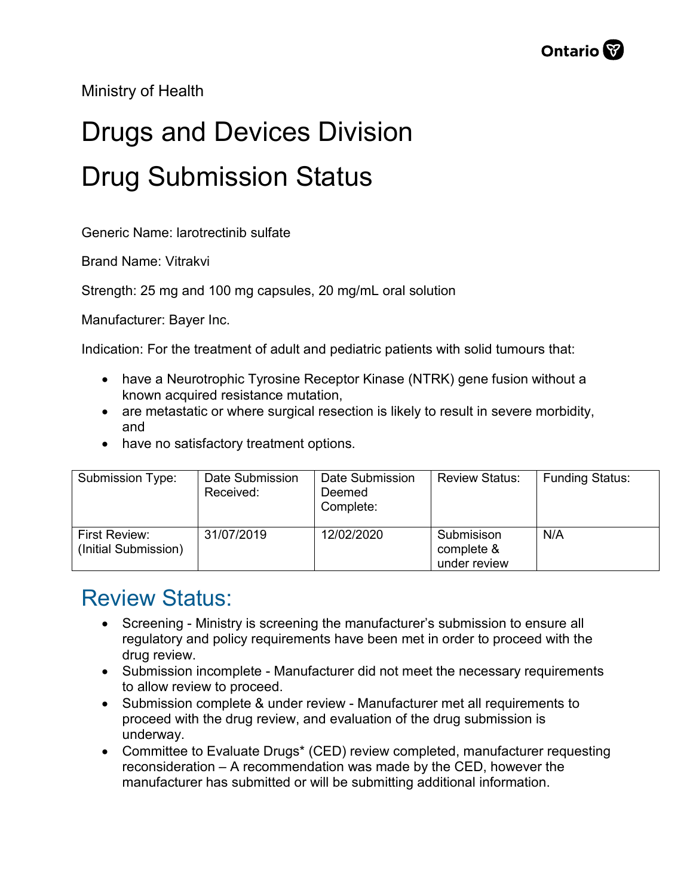Ministry of Health

## Drugs and Devices Division Drug Submission Status

Generic Name: larotrectinib sulfate

Brand Name: Vitrakvi

Strength: 25 mg and 100 mg capsules, 20 mg/mL oral solution

Manufacturer: Bayer Inc.

Indication: For the treatment of adult and pediatric patients with solid tumours that:

- have a Neurotrophic Tyrosine Receptor Kinase (NTRK) gene fusion without a known acquired resistance mutation,
- are metastatic or where surgical resection is likely to result in severe morbidity, and
- have no satisfactory treatment options.

| Submission Type:                      | Date Submission<br>Received: | Date Submission<br>Deemed<br>Complete: | <b>Review Status:</b>                    | <b>Funding Status:</b> |
|---------------------------------------|------------------------------|----------------------------------------|------------------------------------------|------------------------|
| First Review:<br>(Initial Submission) | 31/07/2019                   | 12/02/2020                             | Submisison<br>complete &<br>under review | N/A                    |

## Review Status:

- Screening Ministry is screening the manufacturer's submission to ensure all regulatory and policy requirements have been met in order to proceed with the drug review.
- Submission incomplete Manufacturer did not meet the necessary requirements to allow review to proceed.
- Submission complete & under review Manufacturer met all requirements to proceed with the drug review, and evaluation of the drug submission is underway.
- Committee to Evaluate Drugs\* (CED) review completed, manufacturer requesting reconsideration – A recommendation was made by the CED, however the manufacturer has submitted or will be submitting additional information.